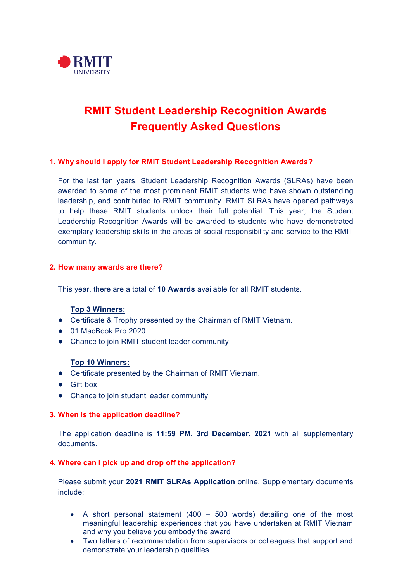

# **RMIT Student Leadership Recognition Awards Frequently Asked Questions**

# **1. Why should I apply for RMIT Student Leadership Recognition Awards?**

For the last ten years, Student Leadership Recognition Awards (SLRAs) have been awarded to some of the most prominent RMIT students who have shown outstanding leadership, and contributed to RMIT community. RMIT SLRAs have opened pathways to help these RMIT students unlock their full potential. This year, the Student Leadership Recognition Awards will be awarded to students who have demonstrated exemplary leadership skills in the areas of social responsibility and service to the RMIT community.

# **2. How many awards are there?**

This year, there are a total of **10 Awards** available for all RMIT students.

# **Top 3 Winners:**

- Certificate & Trophy presented by the Chairman of RMIT Vietnam.
- 01 MacBook Pro 2020
- Chance to join RMIT student leader community

# **Top 10 Winners:**

- Certificate presented by the Chairman of RMIT Vietnam.
- Gift-box
- Chance to join student leader community

# **3. When is the application deadline?**

The application deadline is **11:59 PM, 3rd December, 2021** with all supplementary documents.

# **4. Where can I pick up and drop off the application?**

Please submit your **2021 RMIT SLRAs Application** online. Supplementary documents include:

- A short personal statement (400 500 words) detailing one of the most meaningful leadership experiences that you have undertaken at RMIT Vietnam and why you believe you embody the award
- Two letters of recommendation from supervisors or colleagues that support and demonstrate your leadership qualities.